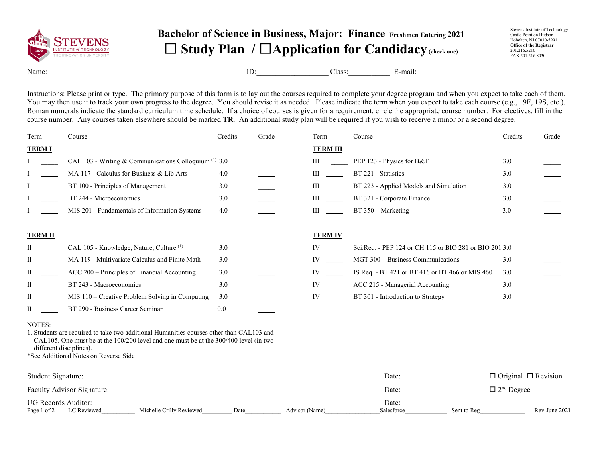

## **Bachelor of Science in Business, Major: Finance Freshmen Entering 2021** ☐ **Study Plan /** ☐**Application for Candidacy(check one)**

Stevens Institute of Technology Castle Point on Hudson Hoboken, NJ 07030-5991 **Office of the Registrar** 201.216.5210 FAX 201.216.8030

Name: ID:\_\_\_\_\_\_\_\_\_\_\_\_\_\_\_\_\_\_\_ Class:\_\_\_\_\_\_\_\_\_\_\_ E-mail:

Instructions: Please print or type. The primary purpose of this form is to lay out the courses required to complete your degree program and when you expect to take each of them. You may then use it to track your own progress to the degree. You should revise it as needed. Please indicate the term when you expect to take each course (e.g., 19F, 19S, etc.). Roman numerals indicate the standard curriculum time schedule. If a choice of courses is given for a requirement, circle the appropriate course number. For electives, fill in the course number. Any courses taken elsewhere should be marked **TR**. An additional study plan will be required if you wish to receive a minor or a second degree.

| Term           | Course                                                | Credits | Grade | Term            | Course                                                 | Credits | Grade |
|----------------|-------------------------------------------------------|---------|-------|-----------------|--------------------------------------------------------|---------|-------|
| <b>TERM I</b>  |                                                       |         |       | <b>TERM III</b> |                                                        |         |       |
|                | CAL 103 - Writing & Communications Colloquium (1) 3.0 |         |       | Ш               | PEP 123 - Physics for B&T                              | 3.0     |       |
|                | MA 117 - Calculus for Business & Lib Arts             | 4.0     |       | III             | BT 221 - Statistics                                    | 3.0     |       |
|                | BT 100 - Principles of Management                     | 3.0     |       | Ш               | BT 223 - Applied Models and Simulation                 | 3.0     |       |
|                | BT 244 - Microeconomics                               | 3.0     |       | Ш               | BT 321 - Corporate Finance                             | 3.0     |       |
|                | MIS 201 - Fundamentals of Information Systems         | 4.0     |       | Ш               | $BT 350 - Marketing$                                   | 3.0     |       |
| <b>TERM II</b> |                                                       |         |       | <b>TERM IV</b>  |                                                        |         |       |
|                | CAL 105 - Knowledge, Nature, Culture <sup>(1)</sup>   | 3.0     |       |                 | Sci.Req. - PEP 124 or CH 115 or BIO 281 or BIO 201 3.0 |         |       |
| П              | MA 119 - Multivariate Calculus and Finite Math        | 3.0     |       | IV              | MGT 300 - Business Communications                      | 3.0     |       |
| П              | ACC 200 – Principles of Financial Accounting          | 3.0     |       | IV              | IS Req. - BT 421 or BT 416 or BT 466 or MIS 460        | 3.0     |       |
| П              | BT 243 - Macroeconomics                               | 3.0     |       | IV              | ACC 215 - Managerial Accounting                        | 3.0     |       |
| П              | MIS 110 - Creative Problem Solving in Computing       | 3.0     |       | IV              | BT 301 - Introduction to Strategy                      | 3.0     |       |
| П              | BT 290 - Business Career Seminar                      | 0.0     |       |                 |                                                        |         |       |

## NOTES:

1. Students are required to take two additional Humanities courses other than CAL103 and CAL105. One must be at the 100/200 level and one must be at the 300/400 level (in two different disciplines).

\*See Additional Notes on Reverse Side

| Student Signature:                |                          |      |                | Date:      |             | $\Box$ Original $\Box$ Revision |
|-----------------------------------|--------------------------|------|----------------|------------|-------------|---------------------------------|
| <b>Faculty Advisor Signature:</b> |                          |      |                | Date:      |             | $\Box$ 2 <sup>nd</sup> Degree   |
| UG Records Auditor:               |                          |      |                | Date:      |             |                                 |
| Page 1 of 2<br>LC Reviewed        | Michelle Crilly Reviewed | Date | Advisor (Name) | Salesforce | Sent to Reg | Rev-June 2021                   |